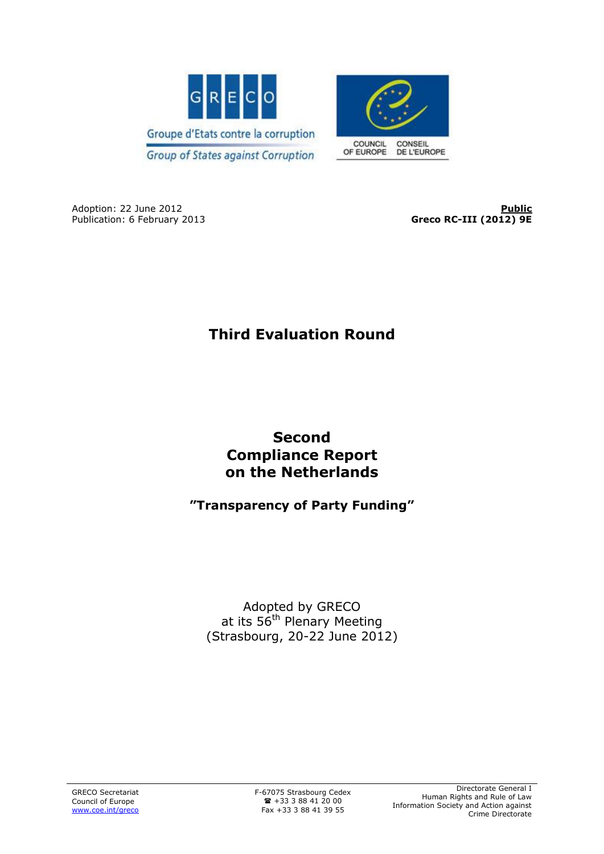



Adoption: 22 June 2012<br>
Publication: 6 February 2013 **Public**<br> **Publication: 6 February 2013 Publication: 6 February 2013** 

Greco RC-III (2012) 9E

# **Third Evaluation Round**

## **Second Compliance Report on the Netherlands**

## **"Transparency of Party Funding"**

Adopted by GRECO at its 56<sup>th</sup> Plenary Meeting (Strasbourg, 20-22 June 2012)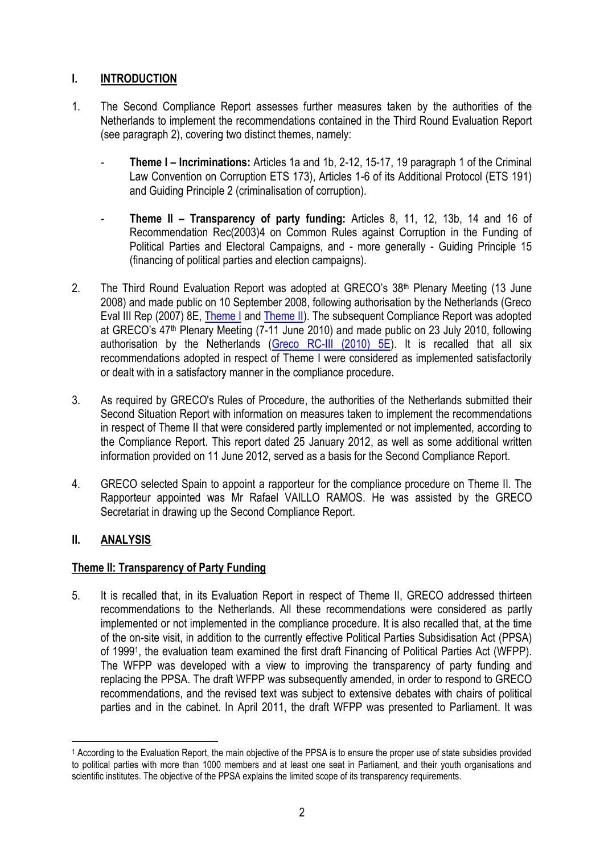## **I. INTRODUCTION**

- 1. The Second Compliance Report assesses further measures taken by the authorities of the Netherlands to implement the recommendations contained in the Third Round Evaluation Report (see paragraph 2), covering two distinct themes, namely:
	- **Theme I Incriminations:** Articles 1a and 1b, 2-12, 15-17, 19 paragraph 1 of the Criminal Law Convention on Corruption ETS 173), Articles 1-6 of its Additional Protocol (ETS 191) and Guiding Principle 2 (criminalisation of corruption).
	- **Theme II Transparency of party funding:** Articles 8, 11, 12, 13b, 14 and 16 of Recommendation Rec(2003)4 on Common Rules against Corruption in the Funding of Political Parties and Electoral Campaigns, and - more generally - Guiding Principle 15 (financing of political parties and election campaigns).
- 2. The Third Round Evaluation Report was adopted at GRECO's 38<sup>th</sup> Plenary Meeting (13 June 2008) and made public on 10 September 2008, following authorisation by the Netherlands (Greco Eval III Rep (2007) 8E, [Theme I](http://www.coe.int/t/dghl/monitoring/greco/evaluations/round3/GrecoEval3(2007)8_Netherlands_One_EN.pdf) and [Theme II\)](http://www.coe.int/t/dghl/monitoring/greco/evaluations/round3/GrecoEval3(2007)8_Netherlands_Two_EN.pdf). The subsequent Compliance Report was adopted at GRECO's 47<sup>th</sup> Plenary Meeting (7-11 June 2010) and made public on 23 July 2010, following authorisation by the Netherlands [\(Greco RC-III \(2010\) 5E\)](http://www.coe.int/t/dghl/monitoring/greco/evaluations/round3/GrecoRC3(2010)5_Netherlands_EN.pdf). It is recalled that all six recommendations adopted in respect of Theme I were considered as implemented satisfactorily or dealt with in a satisfactory manner in the compliance procedure.
- 3. As required by GRECO's Rules of Procedure, the authorities of the Netherlands submitted their Second Situation Report with information on measures taken to implement the recommendations in respect of Theme II that were considered partly implemented or not implemented, according to the Compliance Report. This report dated 25 January 2012, as well as some additional written information provided on 11 June 2012, served as a basis for the Second Compliance Report.
- 4. GRECO selected Spain to appoint a rapporteur for the compliance procedure on Theme II. The Rapporteur appointed was Mr Rafael VAILLO RAMOS. He was assisted by the GRECO Secretariat in drawing up the Second Compliance Report.

### **II. ANALYSIS**

### **Theme II: Transparency of Party Funding**

5. It is recalled that, in its Evaluation Report in respect of Theme II, GRECO addressed thirteen recommendations to the Netherlands. All these recommendations were considered as partly implemented or not implemented in the compliance procedure. It is also recalled that, at the time of the on-site visit, in addition to the currently effective Political Parties Subsidisation Act (PPSA) of 1999<sup>1</sup> , the evaluation team examined the first draft Financing of Political Parties Act (WFPP). The WFPP was developed with a view to improving the transparency of party funding and replacing the PPSA. The draft WFPP was subsequently amended, in order to respond to GRECO recommendations, and the revised text was subject to extensive debates with chairs of political parties and in the cabinet. In April 2011, the draft WFPP was presented to Parliament. It was

 $\overline{a}$ <sup>1</sup> According to the Evaluation Report, the main objective of the PPSA is to ensure the proper use of state subsidies provided to political parties with more than 1000 members and at least one seat in Parliament, and their youth organisations and scientific institutes. The objective of the PPSA explains the limited scope of its transparency requirements.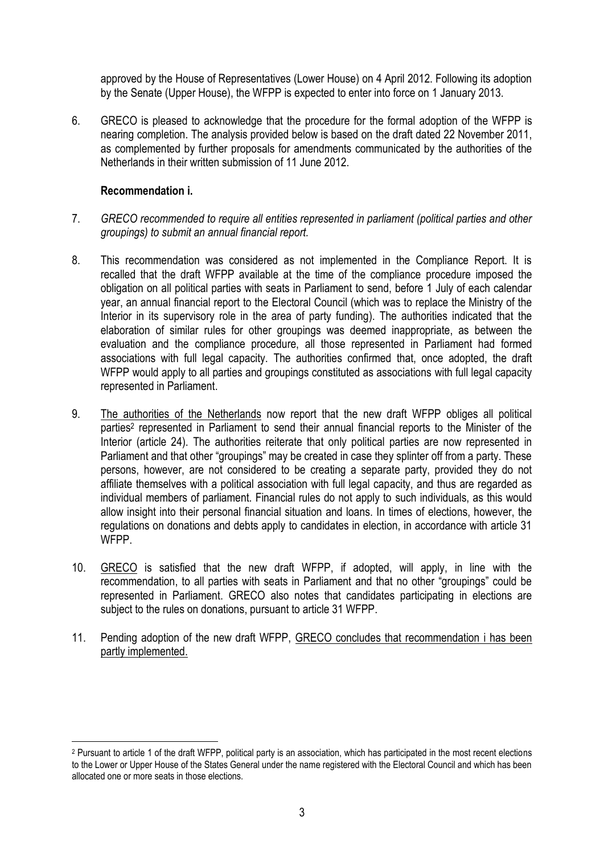approved by the House of Representatives (Lower House) on 4 April 2012. Following its adoption by the Senate (Upper House), the WFPP is expected to enter into force on 1 January 2013.

6. GRECO is pleased to acknowledge that the procedure for the formal adoption of the WFPP is nearing completion. The analysis provided below is based on the draft dated 22 November 2011, as complemented by further proposals for amendments communicated by the authorities of the Netherlands in their written submission of 11 June 2012.

#### **Recommendation i.**

 $\overline{a}$ 

- 7. *GRECO recommended to require all entities represented in parliament (political parties and other groupings) to submit an annual financial report.*
- 8. This recommendation was considered as not implemented in the Compliance Report. It is recalled that the draft WFPP available at the time of the compliance procedure imposed the obligation on all political parties with seats in Parliament to send, before 1 July of each calendar year, an annual financial report to the Electoral Council (which was to replace the Ministry of the Interior in its supervisory role in the area of party funding). The authorities indicated that the elaboration of similar rules for other groupings was deemed inappropriate, as between the evaluation and the compliance procedure, all those represented in Parliament had formed associations with full legal capacity. The authorities confirmed that, once adopted, the draft WFPP would apply to all parties and groupings constituted as associations with full legal capacity represented in Parliament.
- 9. The authorities of the Netherlands now report that the new draft WFPP obliges all political parties<sup>2</sup> represented in Parliament to send their annual financial reports to the Minister of the Interior (article 24). The authorities reiterate that only political parties are now represented in Parliament and that other "groupings" may be created in case they splinter off from a party. These persons, however, are not considered to be creating a separate party, provided they do not affiliate themselves with a political association with full legal capacity, and thus are regarded as individual members of parliament. Financial rules do not apply to such individuals, as this would allow insight into their personal financial situation and loans. In times of elections, however, the regulations on donations and debts apply to candidates in election, in accordance with article 31 WFPP.
- 10. GRECO is satisfied that the new draft WFPP, if adopted, will apply, in line with the recommendation, to all parties with seats in Parliament and that no other "groupings" could be represented in Parliament. GRECO also notes that candidates participating in elections are subject to the rules on donations, pursuant to article 31 WFPP.
- 11. Pending adoption of the new draft WFPP, GRECO concludes that recommendation i has been partly implemented.

<sup>2</sup> Pursuant to article 1 of the draft WFPP, political party is an association, which has participated in the most recent elections to the Lower or Upper House of the States General under the name registered with the Electoral Council and which has been allocated one or more seats in those elections.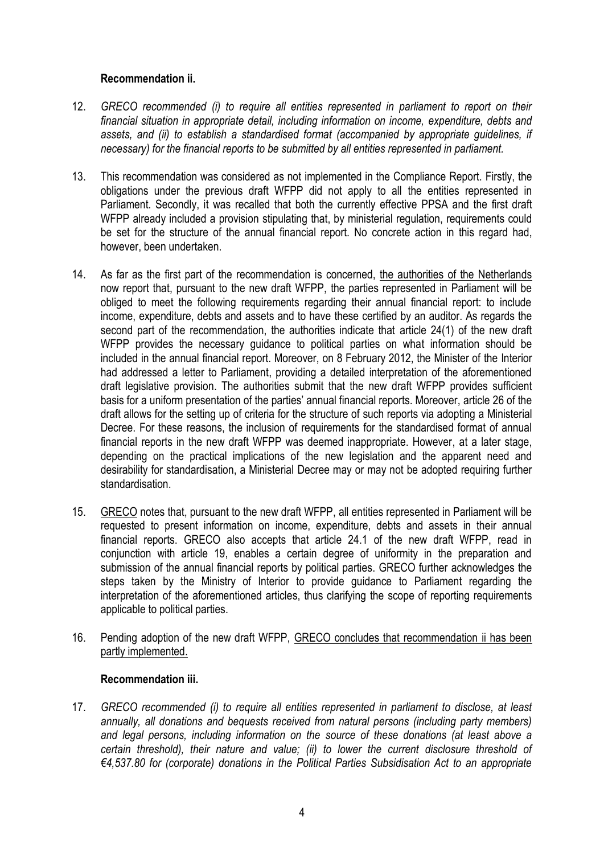#### **Recommendation ii.**

- 12. *GRECO recommended (i) to require all entities represented in parliament to report on their financial situation in appropriate detail, including information on income, expenditure, debts and assets, and (ii) to establish a standardised format (accompanied by appropriate guidelines, if necessary) for the financial reports to be submitted by all entities represented in parliament.*
- 13. This recommendation was considered as not implemented in the Compliance Report. Firstly, the obligations under the previous draft WFPP did not apply to all the entities represented in Parliament. Secondly, it was recalled that both the currently effective PPSA and the first draft WFPP already included a provision stipulating that, by ministerial regulation, requirements could be set for the structure of the annual financial report. No concrete action in this regard had, however, been undertaken.
- 14. As far as the first part of the recommendation is concerned, the authorities of the Netherlands now report that, pursuant to the new draft WFPP, the parties represented in Parliament will be obliged to meet the following requirements regarding their annual financial report: to include income, expenditure, debts and assets and to have these certified by an auditor. As regards the second part of the recommendation, the authorities indicate that article 24(1) of the new draft WFPP provides the necessary guidance to political parties on what information should be included in the annual financial report. Moreover, on 8 February 2012, the Minister of the Interior had addressed a letter to Parliament, providing a detailed interpretation of the aforementioned draft legislative provision. The authorities submit that the new draft WFPP provides sufficient basis for a uniform presentation of the parties' annual financial reports. Moreover, article 26 of the draft allows for the setting up of criteria for the structure of such reports via adopting a Ministerial Decree. For these reasons, the inclusion of requirements for the standardised format of annual financial reports in the new draft WFPP was deemed inappropriate. However, at a later stage, depending on the practical implications of the new legislation and the apparent need and desirability for standardisation, a Ministerial Decree may or may not be adopted requiring further standardisation.
- 15. GRECO notes that, pursuant to the new draft WFPP, all entities represented in Parliament will be requested to present information on income, expenditure, debts and assets in their annual financial reports. GRECO also accepts that article 24.1 of the new draft WFPP, read in conjunction with article 19, enables a certain degree of uniformity in the preparation and submission of the annual financial reports by political parties. GRECO further acknowledges the steps taken by the Ministry of Interior to provide guidance to Parliament regarding the interpretation of the aforementioned articles, thus clarifying the scope of reporting requirements applicable to political parties.
- 16. Pending adoption of the new draft WFPP, GRECO concludes that recommendation ii has been partly implemented.

#### **Recommendation iii.**

17. *GRECO recommended (i) to require all entities represented in parliament to disclose, at least annually, all donations and bequests received from natural persons (including party members) and legal persons, including information on the source of these donations (at least above a certain threshold), their nature and value; (ii) to lower the current disclosure threshold of €4,537.80 for (corporate) donations in the Political Parties Subsidisation Act to an appropriate*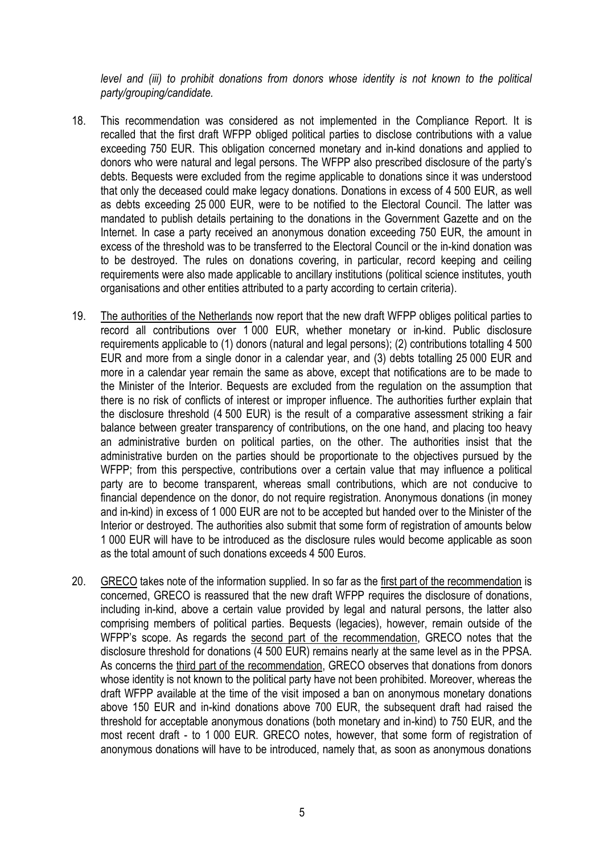*level and (iii) to prohibit donations from donors whose identity is not known to the political party/grouping/candidate.*

- 18. This recommendation was considered as not implemented in the Compliance Report. It is recalled that the first draft WFPP obliged political parties to disclose contributions with a value exceeding 750 EUR. This obligation concerned monetary and in-kind donations and applied to donors who were natural and legal persons. The WFPP also prescribed disclosure of the party's debts. Bequests were excluded from the regime applicable to donations since it was understood that only the deceased could make legacy donations. Donations in excess of 4 500 EUR, as well as debts exceeding 25 000 EUR, were to be notified to the Electoral Council. The latter was mandated to publish details pertaining to the donations in the Government Gazette and on the Internet. In case a party received an anonymous donation exceeding 750 EUR, the amount in excess of the threshold was to be transferred to the Electoral Council or the in-kind donation was to be destroyed. The rules on donations covering, in particular, record keeping and ceiling requirements were also made applicable to ancillary institutions (political science institutes, youth organisations and other entities attributed to a party according to certain criteria).
- 19. The authorities of the Netherlands now report that the new draft WFPP obliges political parties to record all contributions over 1 000 EUR, whether monetary or in-kind. Public disclosure requirements applicable to (1) donors (natural and legal persons); (2) contributions totalling 4 500 EUR and more from a single donor in a calendar year, and (3) debts totalling 25 000 EUR and more in a calendar year remain the same as above, except that notifications are to be made to the Minister of the Interior. Bequests are excluded from the regulation on the assumption that there is no risk of conflicts of interest or improper influence. The authorities further explain that the disclosure threshold (4 500 EUR) is the result of a comparative assessment striking a fair balance between greater transparency of contributions, on the one hand, and placing too heavy an administrative burden on political parties, on the other. The authorities insist that the administrative burden on the parties should be proportionate to the objectives pursued by the WFPP; from this perspective, contributions over a certain value that may influence a political party are to become transparent, whereas small contributions, which are not conducive to financial dependence on the donor, do not require registration. Anonymous donations (in money and in-kind) in excess of 1 000 EUR are not to be accepted but handed over to the Minister of the Interior or destroyed. The authorities also submit that some form of registration of amounts below 1 000 EUR will have to be introduced as the disclosure rules would become applicable as soon as the total amount of such donations exceeds 4 500 Euros.
- 20. GRECO takes note of the information supplied. In so far as the first part of the recommendation is concerned, GRECO is reassured that the new draft WFPP requires the disclosure of donations, including in-kind, above a certain value provided by legal and natural persons, the latter also comprising members of political parties. Bequests (legacies), however, remain outside of the WFPP's scope. As regards the second part of the recommendation, GRECO notes that the disclosure threshold for donations (4 500 EUR) remains nearly at the same level as in the PPSA. As concerns the third part of the recommendation, GRECO observes that donations from donors whose identity is not known to the political party have not been prohibited. Moreover, whereas the draft WFPP available at the time of the visit imposed a ban on anonymous monetary donations above 150 EUR and in-kind donations above 700 EUR, the subsequent draft had raised the threshold for acceptable anonymous donations (both monetary and in-kind) to 750 EUR, and the most recent draft - to 1 000 EUR. GRECO notes, however, that some form of registration of anonymous donations will have to be introduced, namely that, as soon as anonymous donations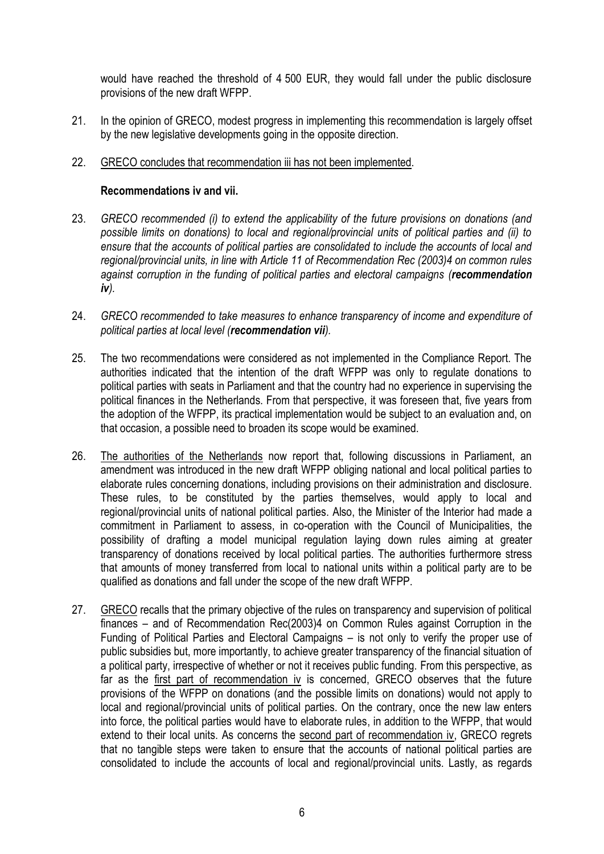would have reached the threshold of 4 500 EUR, they would fall under the public disclosure provisions of the new draft WFPP.

21. In the opinion of GRECO, modest progress in implementing this recommendation is largely offset by the new legislative developments going in the opposite direction.

#### 22. GRECO concludes that recommendation iii has not been implemented.

#### **Recommendations iv and vii.**

- 23. *GRECO recommended (i) to extend the applicability of the future provisions on donations (and possible limits on donations) to local and regional/provincial units of political parties and (ii) to ensure that the accounts of political parties are consolidated to include the accounts of local and regional/provincial units, in line with Article 11 of Recommendation Rec (2003)4 on common rules against corruption in the funding of political parties and electoral campaigns (recommendation iv).*
- 24. *GRECO recommended to take measures to enhance transparency of income and expenditure of political parties at local level (recommendation vii).*
- 25. The two recommendations were considered as not implemented in the Compliance Report. The authorities indicated that the intention of the draft WFPP was only to regulate donations to political parties with seats in Parliament and that the country had no experience in supervising the political finances in the Netherlands. From that perspective, it was foreseen that, five years from the adoption of the WFPP, its practical implementation would be subject to an evaluation and, on that occasion, a possible need to broaden its scope would be examined.
- 26. The authorities of the Netherlands now report that, following discussions in Parliament, an amendment was introduced in the new draft WFPP obliging national and local political parties to elaborate rules concerning donations, including provisions on their administration and disclosure. These rules, to be constituted by the parties themselves, would apply to local and regional/provincial units of national political parties. Also, the Minister of the Interior had made a commitment in Parliament to assess, in co-operation with the Council of Municipalities, the possibility of drafting a model municipal regulation laying down rules aiming at greater transparency of donations received by local political parties. The authorities furthermore stress that amounts of money transferred from local to national units within a political party are to be qualified as donations and fall under the scope of the new draft WFPP.
- 27. GRECO recalls that the primary objective of the rules on transparency and supervision of political finances – and of Recommendation Rec(2003)4 on Common Rules against Corruption in the Funding of Political Parties and Electoral Campaigns – is not only to verify the proper use of public subsidies but, more importantly, to achieve greater transparency of the financial situation of a political party, irrespective of whether or not it receives public funding. From this perspective, as far as the first part of recommendation iv is concerned, GRECO observes that the future provisions of the WFPP on donations (and the possible limits on donations) would not apply to local and regional/provincial units of political parties. On the contrary, once the new law enters into force, the political parties would have to elaborate rules, in addition to the WFPP, that would extend to their local units. As concerns the second part of recommendation iv, GRECO regrets that no tangible steps were taken to ensure that the accounts of national political parties are consolidated to include the accounts of local and regional/provincial units. Lastly, as regards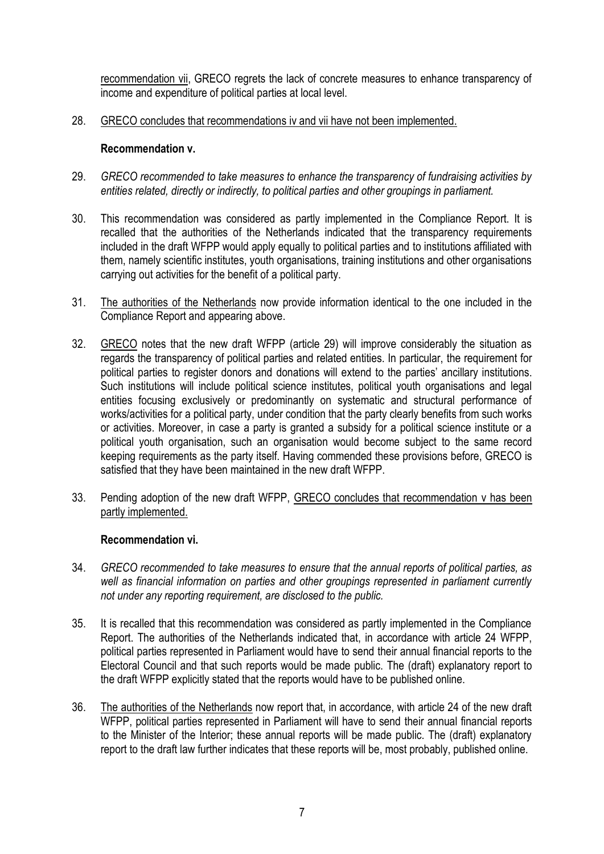recommendation vii, GRECO regrets the lack of concrete measures to enhance transparency of income and expenditure of political parties at local level.

28. GRECO concludes that recommendations iv and vii have not been implemented.

#### **Recommendation v.**

- 29. *GRECO recommended to take measures to enhance the transparency of fundraising activities by entities related, directly or indirectly, to political parties and other groupings in parliament.*
- 30. This recommendation was considered as partly implemented in the Compliance Report. It is recalled that the authorities of the Netherlands indicated that the transparency requirements included in the draft WFPP would apply equally to political parties and to institutions affiliated with them, namely scientific institutes, youth organisations, training institutions and other organisations carrying out activities for the benefit of a political party.
- 31. The authorities of the Netherlands now provide information identical to the one included in the Compliance Report and appearing above.
- 32. GRECO notes that the new draft WFPP (article 29) will improve considerably the situation as regards the transparency of political parties and related entities. In particular, the requirement for political parties to register donors and donations will extend to the parties' ancillary institutions. Such institutions will include political science institutes, political youth organisations and legal entities focusing exclusively or predominantly on systematic and structural performance of works/activities for a political party, under condition that the party clearly benefits from such works or activities. Moreover, in case a party is granted a subsidy for a political science institute or a political youth organisation, such an organisation would become subject to the same record keeping requirements as the party itself. Having commended these provisions before, GRECO is satisfied that they have been maintained in the new draft WFPP.
- 33. Pending adoption of the new draft WFPP, GRECO concludes that recommendation v has been partly implemented.

#### **Recommendation vi.**

- 34. *GRECO recommended to take measures to ensure that the annual reports of political parties, as well as financial information on parties and other groupings represented in parliament currently not under any reporting requirement, are disclosed to the public.*
- 35. It is recalled that this recommendation was considered as partly implemented in the Compliance Report. The authorities of the Netherlands indicated that, in accordance with article 24 WFPP, political parties represented in Parliament would have to send their annual financial reports to the Electoral Council and that such reports would be made public. The (draft) explanatory report to the draft WFPP explicitly stated that the reports would have to be published online.
- 36. The authorities of the Netherlands now report that, in accordance, with article 24 of the new draft WFPP, political parties represented in Parliament will have to send their annual financial reports to the Minister of the Interior; these annual reports will be made public. The (draft) explanatory report to the draft law further indicates that these reports will be, most probably, published online.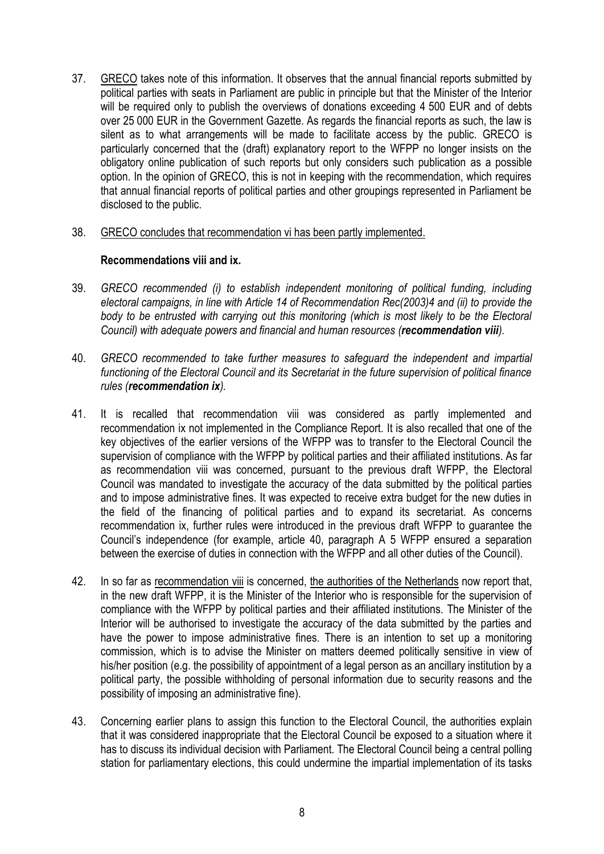- 37. GRECO takes note of this information. It observes that the annual financial reports submitted by political parties with seats in Parliament are public in principle but that the Minister of the Interior will be required only to publish the overviews of donations exceeding 4 500 EUR and of debts over 25 000 EUR in the Government Gazette. As regards the financial reports as such, the law is silent as to what arrangements will be made to facilitate access by the public. GRECO is particularly concerned that the (draft) explanatory report to the WFPP no longer insists on the obligatory online publication of such reports but only considers such publication as a possible option. In the opinion of GRECO, this is not in keeping with the recommendation, which requires that annual financial reports of political parties and other groupings represented in Parliament be disclosed to the public.
- 38. GRECO concludes that recommendation vi has been partly implemented.

#### **Recommendations viii and ix.**

- 39. *GRECO recommended (i) to establish independent monitoring of political funding, including electoral campaigns, in line with Article 14 of Recommendation Rec(2003)4 and (ii) to provide the*  body to be entrusted with carrying out this monitoring (which is most likely to be the Electoral *Council) with adequate powers and financial and human resources (recommendation viii).*
- 40. *GRECO recommended to take further measures to safeguard the independent and impartial functioning of the Electoral Council and its Secretariat in the future supervision of political finance rules (recommendation ix).*
- 41. It is recalled that recommendation viii was considered as partly implemented and recommendation ix not implemented in the Compliance Report. It is also recalled that one of the key objectives of the earlier versions of the WFPP was to transfer to the Electoral Council the supervision of compliance with the WFPP by political parties and their affiliated institutions. As far as recommendation viii was concerned, pursuant to the previous draft WFPP, the Electoral Council was mandated to investigate the accuracy of the data submitted by the political parties and to impose administrative fines. It was expected to receive extra budget for the new duties in the field of the financing of political parties and to expand its secretariat. As concerns recommendation ix, further rules were introduced in the previous draft WFPP to guarantee the Council's independence (for example, article 40, paragraph A 5 WFPP ensured a separation between the exercise of duties in connection with the WFPP and all other duties of the Council).
- 42. In so far as recommendation viii is concerned, the authorities of the Netherlands now report that, in the new draft WFPP, it is the Minister of the Interior who is responsible for the supervision of compliance with the WFPP by political parties and their affiliated institutions. The Minister of the Interior will be authorised to investigate the accuracy of the data submitted by the parties and have the power to impose administrative fines. There is an intention to set up a monitoring commission, which is to advise the Minister on matters deemed politically sensitive in view of his/her position (e.g. the possibility of appointment of a legal person as an ancillary institution by a political party, the possible withholding of personal information due to security reasons and the possibility of imposing an administrative fine).
- 43. Concerning earlier plans to assign this function to the Electoral Council, the authorities explain that it was considered inappropriate that the Electoral Council be exposed to a situation where it has to discuss its individual decision with Parliament. The Electoral Council being a central polling station for parliamentary elections, this could undermine the impartial implementation of its tasks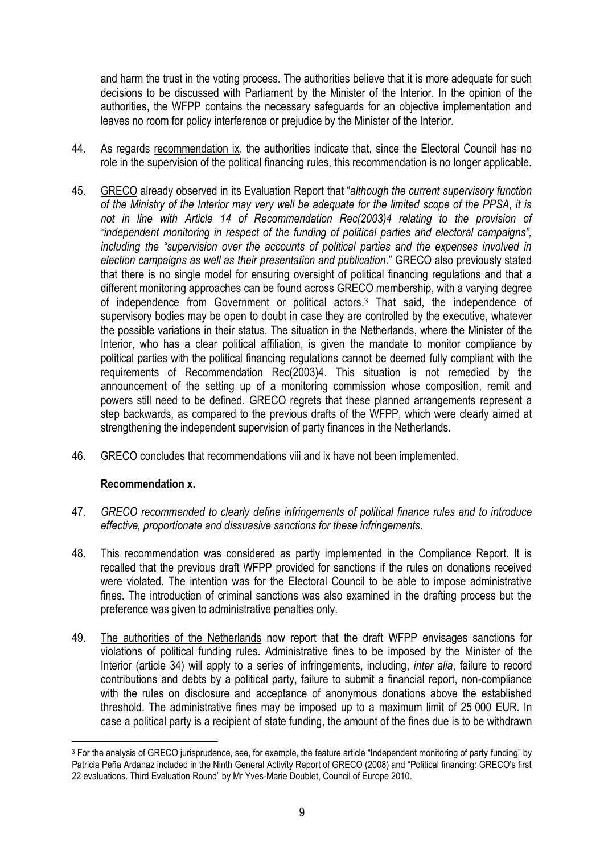and harm the trust in the voting process. The authorities believe that it is more adequate for such decisions to be discussed with Parliament by the Minister of the Interior. In the opinion of the authorities, the WFPP contains the necessary safeguards for an objective implementation and leaves no room for policy interference or prejudice by the Minister of the Interior.

- 44. As regards recommendation ix, the authorities indicate that, since the Electoral Council has no role in the supervision of the political financing rules, this recommendation is no longer applicable.
- 45. GRECO already observed in its Evaluation Report that "*although the current supervisory function of the Ministry of the Interior may very well be adequate for the limited scope of the PPSA, it is*  not in line with Article 14 of Recommendation Rec(2003)4 relating to the provision of *"independent monitoring in respect of the funding of political parties and electoral campaigns", including the "supervision over the accounts of political parties and the expenses involved in election campaigns as well as their presentation and publication*." GRECO also previously stated that there is no single model for ensuring oversight of political financing regulations and that a different monitoring approaches can be found across GRECO membership, with a varying degree of independence from Government or political actors. <sup>3</sup> That said, the independence of supervisory bodies may be open to doubt in case they are controlled by the executive, whatever the possible variations in their status. The situation in the Netherlands, where the Minister of the Interior, who has a clear political affiliation, is given the mandate to monitor compliance by political parties with the political financing regulations cannot be deemed fully compliant with the requirements of Recommendation Rec(2003)4. This situation is not remedied by the announcement of the setting up of a monitoring commission whose composition, remit and powers still need to be defined. GRECO regrets that these planned arrangements represent a step backwards, as compared to the previous drafts of the WFPP, which were clearly aimed at strengthening the independent supervision of party finances in the Netherlands.
- 46. GRECO concludes that recommendations viii and ix have not been implemented.

#### **Recommendation x.**

 $\overline{a}$ 

- 47. *GRECO recommended to clearly define infringements of political finance rules and to introduce effective, proportionate and dissuasive sanctions for these infringements.*
- 48. This recommendation was considered as partly implemented in the Compliance Report. It is recalled that the previous draft WFPP provided for sanctions if the rules on donations received were violated. The intention was for the Electoral Council to be able to impose administrative fines. The introduction of criminal sanctions was also examined in the drafting process but the preference was given to administrative penalties only.
- 49. The authorities of the Netherlands now report that the draft WFPP envisages sanctions for violations of political funding rules. Administrative fines to be imposed by the Minister of the Interior (article 34) will apply to a series of infringements, including, *inter alia*, failure to record contributions and debts by a political party, failure to submit a financial report, non-compliance with the rules on disclosure and acceptance of anonymous donations above the established threshold. The administrative fines may be imposed up to a maximum limit of 25 000 EUR. In case a political party is a recipient of state funding, the amount of the fines due is to be withdrawn

<sup>&</sup>lt;sup>3</sup> For the analysis of GRECO jurisprudence, see, for example, the feature article "Independent monitoring of party funding" by Patricia Peña Ardanaz included in the Ninth General Activity Report of GRECO (2008) and "Political financing: GRECO's first 22 evaluations. Third Evaluation Round" by Mr Yves-Marie Doublet, Council of Europe 2010.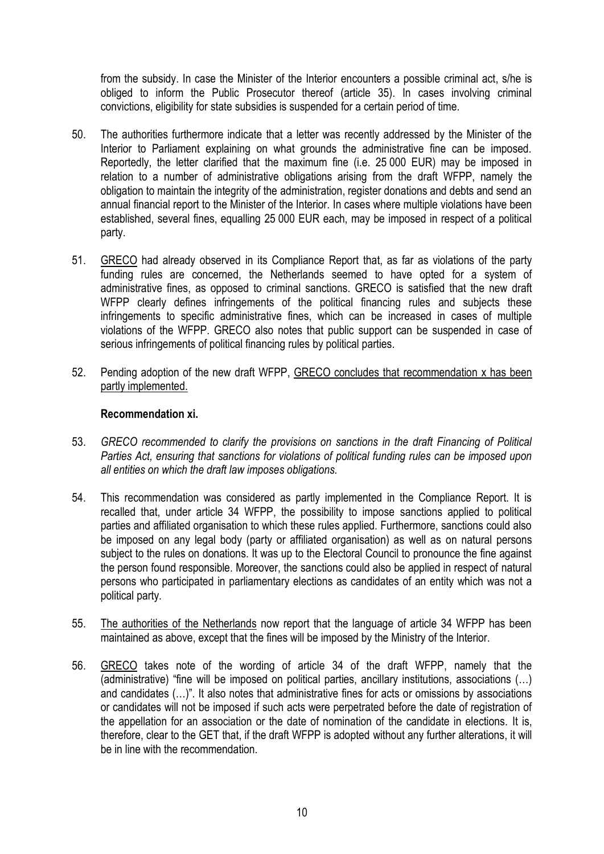from the subsidy. In case the Minister of the Interior encounters a possible criminal act, s/he is obliged to inform the Public Prosecutor thereof (article 35). In cases involving criminal convictions, eligibility for state subsidies is suspended for a certain period of time.

- 50. The authorities furthermore indicate that a letter was recently addressed by the Minister of the Interior to Parliament explaining on what grounds the administrative fine can be imposed. Reportedly, the letter clarified that the maximum fine (i.e. 25 000 EUR) may be imposed in relation to a number of administrative obligations arising from the draft WFPP, namely the obligation to maintain the integrity of the administration, register donations and debts and send an annual financial report to the Minister of the Interior. In cases where multiple violations have been established, several fines, equalling 25 000 EUR each, may be imposed in respect of a political party.
- 51. GRECO had already observed in its Compliance Report that, as far as violations of the party funding rules are concerned, the Netherlands seemed to have opted for a system of administrative fines, as opposed to criminal sanctions. GRECO is satisfied that the new draft WFPP clearly defines infringements of the political financing rules and subjects these infringements to specific administrative fines, which can be increased in cases of multiple violations of the WFPP. GRECO also notes that public support can be suspended in case of serious infringements of political financing rules by political parties.
- 52. Pending adoption of the new draft WFPP, GRECO concludes that recommendation x has been partly implemented.

#### **Recommendation xi.**

- 53. *GRECO recommended to clarify the provisions on sanctions in the draft Financing of Political Parties Act, ensuring that sanctions for violations of political funding rules can be imposed upon all entities on which the draft law imposes obligations.*
- 54. This recommendation was considered as partly implemented in the Compliance Report. It is recalled that, under article 34 WFPP, the possibility to impose sanctions applied to political parties and affiliated organisation to which these rules applied. Furthermore, sanctions could also be imposed on any legal body (party or affiliated organisation) as well as on natural persons subject to the rules on donations. It was up to the Electoral Council to pronounce the fine against the person found responsible. Moreover, the sanctions could also be applied in respect of natural persons who participated in parliamentary elections as candidates of an entity which was not a political party.
- 55. The authorities of the Netherlands now report that the language of article 34 WFPP has been maintained as above, except that the fines will be imposed by the Ministry of the Interior.
- 56. GRECO takes note of the wording of article 34 of the draft WFPP, namely that the (administrative) "fine will be imposed on political parties, ancillary institutions, associations (…) and candidates (…)". It also notes that administrative fines for acts or omissions by associations or candidates will not be imposed if such acts were perpetrated before the date of registration of the appellation for an association or the date of nomination of the candidate in elections. It is, therefore, clear to the GET that, if the draft WFPP is adopted without any further alterations, it will be in line with the recommendation.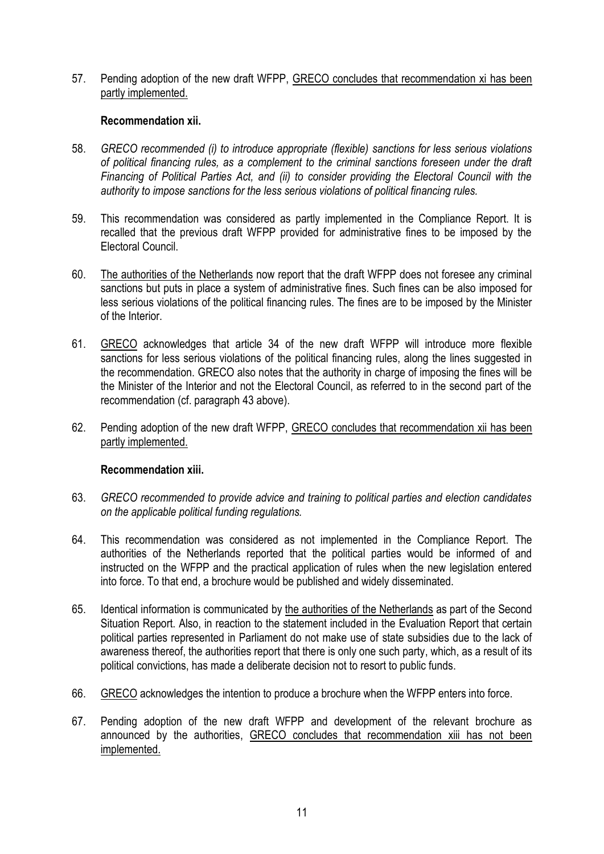57. Pending adoption of the new draft WFPP, GRECO concludes that recommendation xi has been partly implemented.

#### **Recommendation xii.**

- 58. *GRECO recommended (i) to introduce appropriate (flexible) sanctions for less serious violations of political financing rules, as a complement to the criminal sanctions foreseen under the draft Financing of Political Parties Act, and (ii) to consider providing the Electoral Council with the authority to impose sanctions for the less serious violations of political financing rules.*
- 59. This recommendation was considered as partly implemented in the Compliance Report. It is recalled that the previous draft WFPP provided for administrative fines to be imposed by the Electoral Council.
- 60. The authorities of the Netherlands now report that the draft WFPP does not foresee any criminal sanctions but puts in place a system of administrative fines. Such fines can be also imposed for less serious violations of the political financing rules. The fines are to be imposed by the Minister of the Interior.
- 61. GRECO acknowledges that article 34 of the new draft WFPP will introduce more flexible sanctions for less serious violations of the political financing rules, along the lines suggested in the recommendation. GRECO also notes that the authority in charge of imposing the fines will be the Minister of the Interior and not the Electoral Council, as referred to in the second part of the recommendation (cf. paragraph 43 above).
- 62. Pending adoption of the new draft WFPP, GRECO concludes that recommendation xii has been partly implemented.

#### **Recommendation xiii.**

- 63. *GRECO recommended to provide advice and training to political parties and election candidates on the applicable political funding regulations.*
- 64. This recommendation was considered as not implemented in the Compliance Report. The authorities of the Netherlands reported that the political parties would be informed of and instructed on the WFPP and the practical application of rules when the new legislation entered into force. To that end, a brochure would be published and widely disseminated.
- 65. Identical information is communicated by the authorities of the Netherlands as part of the Second Situation Report. Also, in reaction to the statement included in the Evaluation Report that certain political parties represented in Parliament do not make use of state subsidies due to the lack of awareness thereof, the authorities report that there is only one such party, which, as a result of its political convictions, has made a deliberate decision not to resort to public funds.
- 66. GRECO acknowledges the intention to produce a brochure when the WFPP enters into force.
- 67. Pending adoption of the new draft WFPP and development of the relevant brochure as announced by the authorities, GRECO concludes that recommendation xiii has not been implemented.